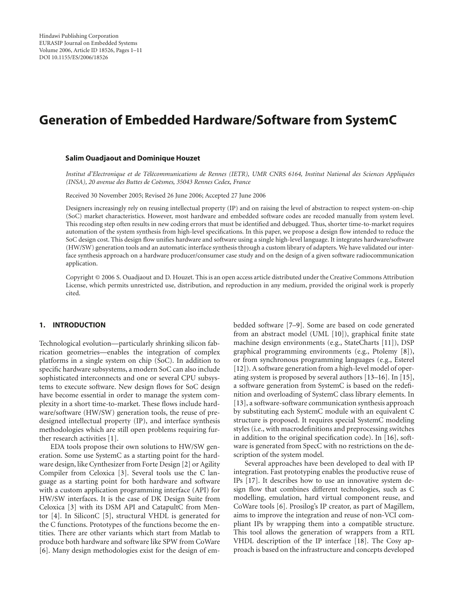# <span id="page-0-0"></span>**Generation of Embedded Hardware/Software from SystemC**

#### **Salim Ouadjaout and Dominique Houzet**

Institut d'Electronique et de Télécommunications de Rennes (IETR), UMR CNRS 6164, Institut National des Sciences Appliquées (INSA), 20 avenue des Buttes de Coësmes, 35043 Rennes Cedex, France

Received 30 November 2005; Revised 26 June 2006; Accepted 27 June 2006

Designers increasingly rely on reusing intellectual property (IP) and on raising the level of abstraction to respect system-on-chip (SoC) market characteristics. However, most hardware and embedded software codes are recoded manually from system level. This recoding step often results in new coding errors that must be identified and debugged. Thus, shorter time-to-market requires automation of the system synthesis from high-level specifications. In this paper, we propose a design flow intended to reduce the SoC design cost. This design flow unifies hardware and software using a single high-level language. It integrates hardware/software (HW/SW) generation tools and an automatic interface synthesis through a custom library of adapters. We have validated our interface synthesis approach on a hardware producer/consumer case study and on the design of a given software radiocommunication application.

Copyright © 2006 S. Ouadjaout and D. Houzet. This is an open access article distributed under the Creative Commons Attribution License, which permits unrestricted use, distribution, and reproduction in any medium, provided the original work is properly cited.

## **1. INTRODUCTION**

Technological evolution—particularly shrinking silicon fabrication geometries—enables the integration of complex platforms in a single system on chip (SoC). In addition to specific hardware subsystems, a modern SoC can also include sophisticated interconnects and one or several CPU subsystems to execute software. New design flows for SoC design have become essential in order to manage the system complexity in a short time-to-market. These flows include hardware/software (HW/SW) generation tools, the reuse of predesigned intellectual property (IP), and interface synthesis methodologies which are still open problems requiring further research activities [\[1](#page-9-1)].

EDA tools propose their own solutions to HW/SW generation. Some use SystemC as a starting point for the hardware design, like Cynthesizer from Forte Design [\[2\]](#page-9-2) or Agility Compiler from Celoxica [\[3](#page-9-3)]. Several tools use the C language as a starting point for both hardware and software with a custom application programming interface (API) for HW/SW interfaces. It is the case of DK Design Suite from Celoxica [\[3](#page-9-3)] with its DSM API and CatapultC from Mentor [\[4](#page-9-4)]. In SiliconC [\[5](#page-9-5)], structural VHDL is generated for the C functions. Prototypes of the functions become the entities. There are other variants which start from Matlab to produce both hardware and software like SPW from CoWare [\[6\]](#page-9-6). Many design methodologies exist for the design of embedded software [\[7](#page-9-7)[–9](#page-9-8)]. Some are based on code generated from an abstract model (UML [\[10\]](#page-9-9)), graphical finite state machine design environments (e.g., StateCharts [\[11\]](#page-9-10)), DSP graphical programming environments (e.g., Ptolemy [\[8](#page-9-11)]), or from synchronous programming languages (e.g., Esterel [\[12](#page-9-12)]). A software generation from a high-level model of operating system is proposed by several authors [\[13](#page-9-13)[–16](#page-10-0)]. In [\[15](#page-10-1)], a software generation from SystemC is based on the redefinition and overloading of SystemC class library elements. In [\[13](#page-9-13)], a software-software communication synthesis approach by substituting each SystemC module with an equivalent C structure is proposed. It requires special SystemC modeling styles (i.e., with macrodefinitions and preprocessing switches in addition to the original specification code). In [\[16](#page-10-0)], software is generated from SpecC with no restrictions on the description of the system model.

Several approaches have been developed to deal with IP integration. Fast prototyping enables the productive reuse of IPs [\[17](#page-10-2)]. It describes how to use an innovative system design flow that combines different technologies, such as C modelling, emulation, hard virtual component reuse, and CoWare tools [\[6\]](#page-9-6). Prosilog's IP creator, as part of Magillem, aims to improve the integration and reuse of non-VCI compliant IPs by wrapping them into a compatible structure. This tool allows the generation of wrappers from a RTL VHDL description of the IP interface [\[18\]](#page-10-3). The Cosy approach is based on the infrastructure and concepts developed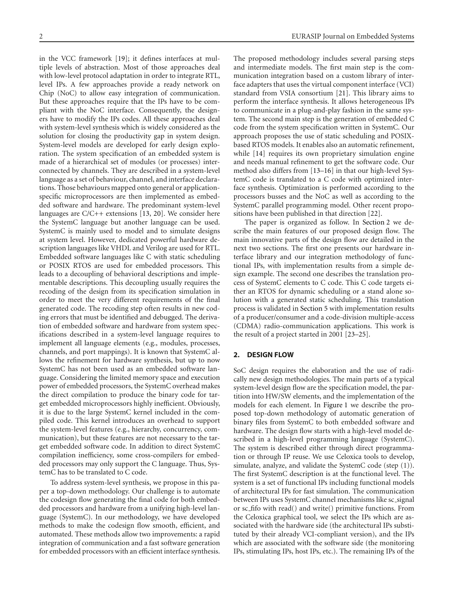in the VCC framework [\[19](#page-10-4)]; it defines interfaces at multiple levels of abstraction. Most of those approaches deal with low-level protocol adaptation in order to integrate RTL, level IPs. A few approaches provide a ready network on Chip (NoC) to allow easy integration of communication. But these approaches require that the IPs have to be compliant with the NoC interface. Consequently, the designers have to modify the IPs codes. All these approaches deal with system-level synthesis which is widely considered as the solution for closing the productivity gap in system design. System-level models are developed for early design exploration. The system specification of an embedded system is made of a hierarchical set of modules (or processes) interconnected by channels. They are described in a system-level language as a set of behaviour, channel, and interface declarations. Those behaviours mapped onto general or applicationspecific microprocessors are then implemented as embedded software and hardware. The predominant system-level languages are C/C++ extensions [\[13,](#page-9-13) [20](#page-10-5)]. We consider here the SystemC language but another language can be used. SystemC is mainly used to model and to simulate designs at system level. However, dedicated powerful hardware description languages like VHDL and Verilog are used for RTL. Embedded software languages like C with static scheduling or POSIX RTOS are used for embedded processors. This leads to a decoupling of behavioral descriptions and implementable descriptions. This decoupling usually requires the recoding of the design from its specification simulation in order to meet the very different requirements of the final generated code. The recoding step often results in new coding errors that must be identified and debugged. The derivation of embedded software and hardware from system specifications described in a system-level language requires to implement all language elements (e.g., modules, processes, channels, and port mappings). It is known that SystemC allows the refinement for hardware synthesis, but up to now SystemC has not been used as an embedded software language. Considering the limited memory space and execution power of embedded processors, the SystemC overhead makes the direct compilation to produce the binary code for target embedded microprocessors highly inefficient. Obviously, it is due to the large SystemC kernel included in the compiled code. This kernel introduces an overhead to support the system-level features (e.g., hierarchy, concurrency, communication), but these features are not necessary to the target embedded software code. In addition to direct SystemC compilation inefficiency, some cross-compilers for embedded processors may only support the C language. Thus, SystemC has to be translated to C code.

To address system-level synthesis, we propose in this paper a top-down methodology. Our challenge is to automate the codesign flow generating the final code for both embedded processors and hardware from a unifying high-level language (SystemC). In our methodology, we have developed methods to make the codesign flow smooth, efficient, and automated. These methods allow two improvements: a rapid integration of communication and a fast software generation for embedded processors with an efficient interface synthesis.

The proposed methodology includes several parsing steps and intermediate models. The first main step is the communication integration based on a custom library of interface adapters that uses the virtual component interface (VCI) standard from VSIA consortium [\[21](#page-10-6)]. This library aims to perform the interface synthesis. It allows heterogeneous IPs to communicate in a plug-and-play fashion in the same system. The second main step is the generation of embedded C code from the system specification written in SystemC. Our approach proposes the use of static scheduling and POSIXbased RTOS models. It enables also an automatic refinement, while [\[14\]](#page-10-7) requires its own proprietary simulation engine and needs manual refinement to get the software code. Our method also differs from [\[13](#page-9-13)[–16\]](#page-10-0) in that our high-level SystemC code is translated to a C code with optimized interface synthesis. Optimization is performed according to the processors busses and the NoC as well as according to the SystemC parallel programming model. Other recent propositions have been published in that direction [\[22\]](#page-10-8).

The paper is organized as follow. In [Section 2](#page-1-0) we describe the main features of our proposed design flow. The main innovative parts of the design flow are detailed in the next two sections. The first one presents our hardware interface library and our integration methodology of functional IPs, with implementation results from a simple design example. The second one describes the translation process of SystemC elements to C code. This C code targets either an RTOS for dynamic scheduling or a stand alone solution with a generated static scheduling. This translation process is validated in [Section 5](#page-9-14) with implementation results of a producer/consumer and a code-division multiple-access (CDMA) radio-communication applications. This work is the result of a project started in 2001 [\[23](#page-10-9)[–25\]](#page-10-10).

## <span id="page-1-0"></span>**2. DESIGN FLOW**

SoC design requires the elaboration and the use of radically new design methodologies. The main parts of a typical system-level design flow are the specification model, the partition into HW/SW elements, and the implementation of the models for each element. In [Figure 1](#page-2-0) we describe the proposed top-down methodology of automatic generation of binary files from SystemC to both embedded software and hardware. The design flow starts with a high-level model described in a high-level programming language (SystemC). The system is described either through direct programmation or through IP reuse. We use Celoxica tools to develop, simulate, analyze, and validate the SystemC code (step (1)). The first SystemC description is at the functional level. The system is a set of functional IPs including functional models of architectural IPs for fast simulation. The communication between IPs uses SystemC channel mechanisms like sc signal or sc fifo with read() and write() primitive functions. From the Celoxica graphical tool, we select the IPs which are associated with the hardware side (the architectural IPs substituted by their already VCI-compliant version), and the IPs which are associated with the software side (the monitoring IPs, stimulating IPs, host IPs, etc.). The remaining IPs of the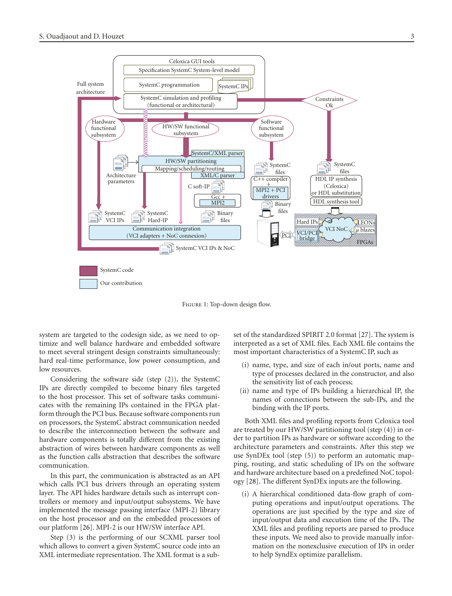

<span id="page-2-0"></span>Figure 1: Top-down design flow.

system are targeted to the codesign side, as we need to optimize and well balance hardware and embedded software to meet several stringent design constraints simultaneously: hard real-time performance, low power consumption, and low resources.

Considering the software side (step (2)), the SystemC IPs are directly compiled to become binary files targeted to the host processor. This set of software tasks communicates with the remaining IPs contained in the FPGA platform through the PCI bus. Because software components run on processors, the SystemC abstract communication needed to describe the interconnection between the software and hardware components is totally different from the existing abstraction of wires between hardware components as well as the function calls abstraction that describes the software communication.

In this part, the communication is abstracted as an API which calls PCI bus drivers through an operating system layer. The API hides hardware details such as interrupt controllers or memory and input/output subsystems. We have implemented the message passing interface (MPI-2) library on the host processor and on the embedded processors of our platform [\[26](#page-10-11)]. MPI-2 is our HW/SW interface API.

Step (3) is the performing of our SCXML parser tool which allows to convert a given SystemC source code into an XML intermediate representation. The XML format is a subset of the standardized SPIRIT 2*.*0 format [\[27](#page-10-12)]. The system is interpreted as a set of XML files. Each XML file contains the most important characteristics of a SystemC IP, such as

- (i) name, type, and size of each in/out ports, name and type of processes declared in the constructor, and also the sensitivity list of each process;
- (ii) name and type of IPs building a hierarchical IP, the names of connections between the sub-IPs, and the binding with the IP ports.

Both XML files and profiling reports from Celoxica tool are treated by our HW/SW partitioning tool (step (4)) in order to partition IPs as hardware or software according to the architecture parameters and constraints. After this step we use SynDEx tool (step (5)) to perform an automatic mapping, routing, and static scheduling of IPs on the software and hardware architecture based on a predefined NoC topology [\[28](#page-10-13)]. The different SynDEx inputs are the following.

(i) A hierarchical conditioned data-flow graph of computing operations and input/output operations. The operations are just specified by the type and size of input/output data and execution time of the IPs. The XML files and profiling reports are parsed to produce these inputs. We need also to provide manually information on the nonexclusive execution of IPs in order to help SyndEx optimize parallelism.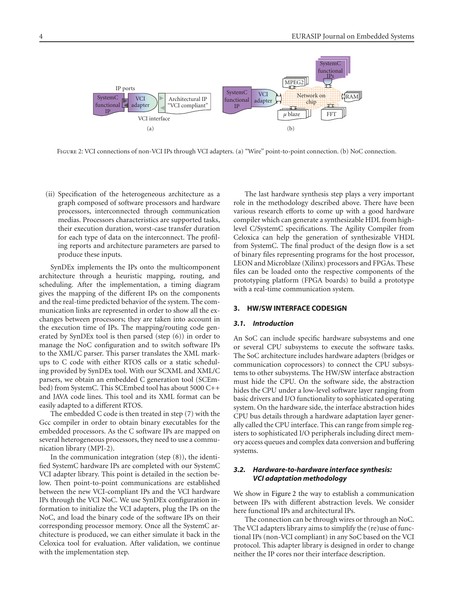

<span id="page-3-0"></span>FIGURE 2: VCI connections of non-VCI IPs through VCI adapters. (a) "Wire" point-to-point connection. (b) NoC connection.

(ii) Specification of the heterogeneous architecture as a graph composed of software processors and hardware processors, interconnected through communication medias. Processors characteristics are supported tasks, their execution duration, worst-case transfer duration for each type of data on the interconnect. The profiling reports and architecture parameters are parsed to produce these inputs.

SynDEx implements the IPs onto the multicomponent architecture through a heuristic mapping, routing, and scheduling. After the implementation, a timing diagram gives the mapping of the different IPs on the components and the real-time predicted behavior of the system. The communication links are represented in order to show all the exchanges between processors; they are taken into account in the execution time of IPs. The mapping/routing code generated by SynDEx tool is then parsed (step (6)) in order to manage the NoC configuration and to switch software IPs to the XML/C parser. This parser translates the XML markups to C code with either RTOS calls or a static scheduling provided by SynDEx tool. With our SCXML and XML/C parsers, we obtain an embedded C generation tool (SCEmbed) from SystemC. This SCEmbed tool has about 5000 C++ and JAVA code lines. This tool and its XML format can be easily adapted to a different RTOS.

The embedded C code is then treated in step (7) with the Gcc compiler in order to obtain binary executables for the embedded processors. As the C software IPs are mapped on several heterogeneous processors, they need to use a communication library (MPI-2).

In the communication integration (step (8)), the identified SystemC hardware IPs are completed with our SystemC VCI adapter library. This point is detailed in the section below. Then point-to-point communications are established between the new VCI-compliant IPs and the VCI hardware IPs through the VCI NoC. We use SynDEx configuration information to initialize the VCI adapters, plug the IPs on the NoC, and load the binary code of the software IPs on their corresponding processor memory. Once all the SystemC architecture is produced, we can either simulate it back in the Celoxica tool for evaluation. After validation, we continue with the implementation step.

The last hardware synthesis step plays a very important role in the methodology described above. There have been various research efforts to come up with a good hardware compiler which can generate a synthesizable HDL from highlevel C/SystemC specifications. The Agility Compiler from Celoxica can help the generation of synthesizable VHDL from SystemC. The final product of the design flow is a set of binary files representing programs for the host processor, LEON and Microblaze (Xilinx) processors and FPGAs. These files can be loaded onto the respective components of the prototyping platform (FPGA boards) to build a prototype with a real-time communication system.

## **3. HW/SW INTERFACE CODESIGN**

## *3.1. Introduction*

An SoC can include specific hardware subsystems and one or several CPU subsystems to execute the software tasks. The SoC architecture includes hardware adapters (bridges or communication coprocessors) to connect the CPU subsystems to other subsystems. The HW/SW interface abstraction must hide the CPU. On the software side, the abstraction hides the CPU under a low-level software layer ranging from basic drivers and I/O functionality to sophisticated operating system. On the hardware side, the interface abstraction hides CPU bus details through a hardware adaptation layer generally called the CPU interface. This can range from simple registers to sophisticated I/O peripherals including direct memory access queues and complex data conversion and buffering systems.

## *3.2. Hardware-to-hardware interface synthesis: VCI adaptation methodology*

We show in [Figure 2](#page-3-0) the way to establish a communication between IPs with different abstraction levels. We consider here functional IPs and architectural IPs.

The connection can be through wires or through an NoC. The VCI adapters library aims to simplify the (re)use of functional IPs (non-VCI compliant) in any SoC based on the VCI protocol. This adapter library is designed in order to change neither the IP cores nor their interface description.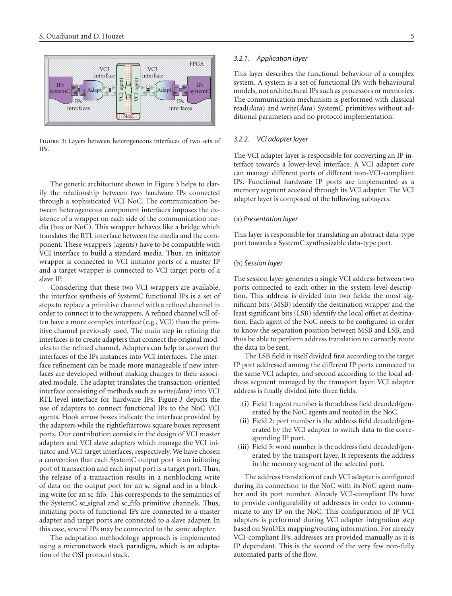

<span id="page-4-0"></span>Figure 3: Layers between heterogeneous interfaces of two sets of IPs.

The generic architecture shown in [Figure 3](#page-4-0) helps to clarify the relationship between two hardware IPs connected through a sophisticated VCI NoC. The communication between heterogeneous component interfaces imposes the existence of a wrapper on each side of the communication media (bus or NoC). This wrapper behaves like a bridge which translates the RTL interface between the media and the component. These wrappers (agents) have to be compatible with VCI interface to build a standard media. Thus, an initiator wrapper is connected to VCI initiator ports of a master IP and a target wrapper is connected to VCI target ports of a slave IP.

Considering that these two VCI wrappers are available, the interface synthesis of SystemC functional IPs is a set of steps to replace a primitive channel with a refined channel in order to connect it to the wrappers. A refined channel will often have a more complex interface (e.g., VCI) than the primitive channel previously used. The main step in refining the interfaces is to create adapters that connect the original modules to the refined channel. Adapters can help to convert the interfaces of the IPs instances into VCI interfaces. The interface refinement can be made more manageable if new interfaces are developed without making changes to their associated module. The adapter translates the transaction-oriented interface consisting of methods such as *write(data)* into VCI RTL-level interface for hardware IPs. [Figure 3](#page-4-0) depicts the use of adapters to connect functional IPs to the NoC VCI agents. Hook arrow boxes indicate the interface provided by the adapters while the rightleftarrows square boxes represent ports. Our contribution consists in the design of VCI master adapters and VCI slave adapters which manage the VCI initiator and VCI target interfaces, respectively. We have chosen a convention that each SystemC output port is an initiating port of transaction and each input port is a target port. Thus, the release of a transaction results in a nonblocking write of data on the output port for an sc signal and in a blocking write for an sc fifo. This corresponds to the semantics of the SystemC sc signal and sc fifo primitive channels. Thus, initiating ports of functional IPs are connected to a master adapter and target ports are connected to a slave adapter. In this case, several IPs may be connected to the same adapter.

The adaptation methodology approach is implemented using a micronetwork stack paradigm, which is an adaptation of the OSI protocol stack.

#### *3.2.1. Application layer*

This layer describes the functional behaviour of a complex system. A system is a set of functional IPs with behavioural models, not architectural IPs such as processors or memories. The communication mechanism is performed with classical read(*data*) and write(*data*) SystemC primitives without additional parameters and no protocol implementation.

## *3.2.2. VCI adapter layer*

The VCI adapter layer is responsible for converting an IP interface towards a lower-level interface. A VCI adapter core can manage different ports of different non-VCI-compliant IPs. Functional hardware IP ports are implemented as a memory segment accessed through its VCI adapter. The VCI adapter layer is composed of the following sublayers.

## (a) *Presentation layer*

This layer is responsible for translating an abstract data-type port towards a SystemC synthesizable data-type port.

## (b) *Session layer*

The session layer generates a single VCI address between two ports connected to each other in the system-level description. This address is divided into two fields: the most significant bits (MSB) identify the destination wrapper and the least significant bits (LSB) identify the local offset at destination. Each agent of the NoC needs to be configured in order to know the separation position between MSB and LSB, and thus be able to perform address translation to correctly route the data to be sent.

The LSB field is itself divided first according to the target IP port addressed among the different IP ports connected to the same VCI adapter, and second according to the local address segment managed by the transport layer. VCI adapter address is finally divided into three fields.

- (i) Field 1: agent number is the address field decoded/generated by the NoC agents and routed in the NoC.
- (ii) Field 2: port number is the address field decoded/generated by the VCI adapter to switch data to the corresponding IP port.
- (iii) Field 3: word number is the address field decoded/generated by the transport layer. It represents the address in the memory segment of the selected port.

The address translation of each VCI adapter is configured during its connection to the NoC with its NoC agent number and its port number. Already VCI-compliant IPs have to provide configurability of addresses in order to communicate to any IP on the NoC. This configuration of IP VCI adapters is performed during VCI adapter integration step based on SynDEx mapping/routing information. For already VCI-compliant IPs, addresses are provided manually as it is IP dependant. This is the second of the very few non-fully automated parts of the flow.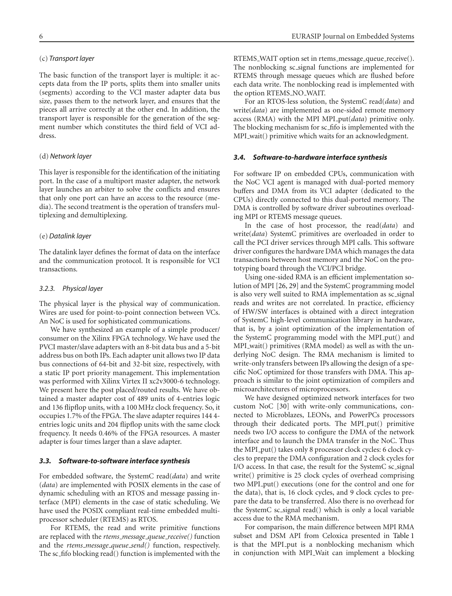## (c) *Transport layer*

The basic function of the transport layer is multiple: it accepts data from the IP ports, splits them into smaller units (segments) according to the VCI master adapter data bus size, passes them to the network layer, and ensures that the pieces all arrive correctly at the other end. In addition, the transport layer is responsible for the generation of the segment number which constitutes the third field of VCI address

## (d) *Network layer*

This layer is responsible for the identification of the initiating port. In the case of a multiport master adapter, the network layer launches an arbiter to solve the conflicts and ensures that only one port can have an access to the resource (media). The second treatment is the operation of transfers multiplexing and demultiplexing.

## (e) *Datalink layer*

The datalink layer defines the format of data on the interface and the communication protocol. It is responsible for VCI transactions.

#### *3.2.3. Physical layer*

The physical layer is the physical way of communication. Wires are used for point-to-point connection between VCs. An NoC is used for sophisticated communications.

We have synthesized an example of a simple producer/ consumer on the Xilinx FPGA technology. We have used the PVCI master/slave adapters with an 8-bit data bus and a 5-bit address bus on both IPs. Each adapter unit allows two IP data bus connections of 64-bit and 32-bit size, respectively, with a static IP port priority management. This implementation was performed with Xilinx Virtex II xc2v3000-6 technology. We present here the post placed/routed results. We have obtained a master adapter cost of 489 units of 4-entries logic and 136 flipflop units, with a 100 MHz clock frequency. So, it occupies 1*.*7% of the FPGA. The slave adapter requires 144 4 entries logic units and 204 flipflop units with the same clock frequency. It needs 0*.*46% of the FPGA resources. A master adapter is four times larger than a slave adapter.

## *3.3. Software-to-software interface synthesis*

For embedded software, the SystemC read(*data*) and write (*data*) are implemented with POSIX elements in the case of dynamic scheduling with an RTOS and message passing interface (MPI) elements in the case of static scheduling. We have used the POSIX compliant real-time embedded multiprocessor scheduler (RTEMS) as RTOS.

For RTEMS, the read and write primitive functions are replaced with the *rtems message queue receive()* function and the *rtems message queue send()* function, respectively. The sc fifo blocking read() function is implemented with the RTEMS\_WAIT option set in rtems\_message\_queue\_receive(). The nonblocking sc signal functions are implemented for RTEMS through message queues which are flushed before each data write. The nonblocking read is implemented with the option RTEMS NO WAIT.

For an RTOS-less solution, the SystemC read(*data*) and write(*data*) are implemented as one-sided remote memory access (RMA) with the MPI MPI put(*data*) primitive only. The blocking mechanism for sc fifo is implemented with the MPI\_wait() primitive which waits for an acknowledgment.

## *3.4. Software-to-hardware interface synthesis*

For software IP on embedded CPUs, communication with the NoC VCI agent is managed with dual-ported memory buffers and DMA from its VCI adapter (dedicated to the CPUs) directly connected to this dual-ported memory. The DMA is controlled by software driver subroutines overloading MPI or RTEMS message queues.

In the case of host processor, the read(*data*) and write(*data*) SystemC primitives are overloaded in order to call the PCI driver services through MPI calls. This software driver configures the hardware DMA which manages the data transactions between host memory and the NoC on the prototyping board through the VCI/PCI bridge.

Using one-sided RMA is an efficient implementation solution of MPI [\[26](#page-10-11), [29](#page-10-14)] and the SystemC programming model is also very well suited to RMA implementation as sc signal reads and writes are not correlated. In practice, efficiency of HW/SW interfaces is obtained with a direct integration of SystemC high-level communication library in hardware, that is, by a joint optimization of the implementation of the SystemC programming model with the MPI put() and MPI\_wait() primitives (RMA model) as well as with the underlying NoC design. The RMA mechanism is limited to write-only transfers between IPs allowing the design of a specific NoC optimized for those transfers with DMA. This approach is similar to the joint optimization of compilers and microarchitectures of microprocessors.

We have designed optimized network interfaces for two custom NoC [\[30\]](#page-10-15) with write-only communications, connected to Microblazes, LEONs, and PowerPCs processors through their dedicated ports. The MPI<sub>-put</sub>() primitive needs two I/O access to configure the DMA of the network interface and to launch the DMA transfer in the NoC. Thus the MPI put() takes only 8 processor clock cycles: 6 clock cycles to prepare the DMA configuration and 2 clock cycles for I/O access. In that case, the result for the SystemC sc signal write() primitive is 25 clock cycles of overhead comprising two MPI put() executions (one for the control and one for the data), that is, 16 clock cycles, and 9 clock cycles to prepare the data to be transferred. Also there is no overhead for the SystemC sc signal read() which is only a local variable access due to the RMA mechanism.

For comparison, the main difference between MPI RMA subset and DSM API from Celoxica presented in [Table 1](#page-6-0) is that the MPI put is a nonblocking mechanism which in conjunction with MPI Wait can implement a blocking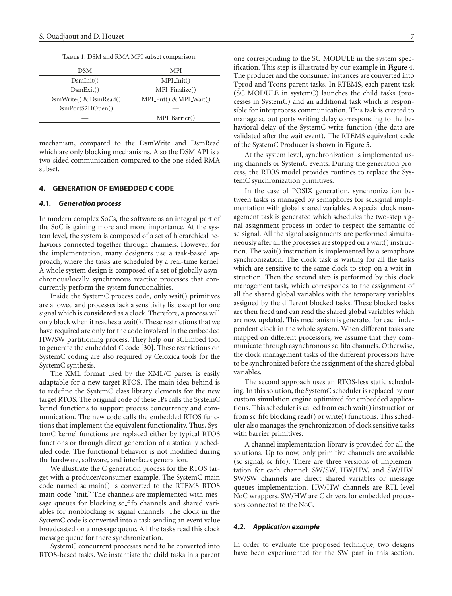TABLE 1: DSM and RMA MPI subset comparison.

<span id="page-6-0"></span>

| <b>DSM</b>             | <b>MPI</b>                |  |  |
|------------------------|---------------------------|--|--|
| DsmInit()              | $MPI\_Init()$             |  |  |
| DsmExit()              | MPI_Finalize()            |  |  |
| DsmWrite() & DsmRead() | $MPI_Put() \& MPI_Wait()$ |  |  |
| DsmPortS2HOpen()       |                           |  |  |
|                        | MPI_Barrier()             |  |  |
|                        |                           |  |  |

mechanism, compared to the DsmWrite and DsmRead which are only blocking mechanisms. Also the DSM API is a two-sided communication compared to the one-sided RMA subset.

## **4. GENERATION OF EMBEDDED C CODE**

#### *4.1. Generation process*

In modern complex SoCs, the software as an integral part of the SoC is gaining more and more importance. At the system level, the system is composed of a set of hierarchical behaviors connected together through channels. However, for the implementation, many designers use a task-based approach, where the tasks are scheduled by a real-time kernel. A whole system design is composed of a set of globally asynchronous/locally synchronous reactive processes that concurrently perform the system functionalities.

Inside the SystemC process code, only wait() primitives are allowed and processes lack a sensitivity list except for one signal which is considered as a clock. Therefore, a process will only block when it reaches a wait(). These restrictions that we have required are only for the code involved in the embedded HW/SW partitioning process. They help our SCEmbed tool to generate the embedded C code [\[30](#page-10-15)]. These restrictions on SystemC coding are also required by Celoxica tools for the SystemC synthesis.

The XML format used by the XML/C parser is easily adaptable for a new target RTOS. The main idea behind is to redefine the SystemC class library elements for the new target RTOS. The original code of these IPs calls the SystemC kernel functions to support process concurrency and communication. The new code calls the embedded RTOS functions that implement the equivalent functionality. Thus, SystemC kernel functions are replaced either by typical RTOS functions or through direct generation of a statically scheduled code. The functional behavior is not modified during the hardware, software, and interfaces generation.

We illustrate the C generation process for the RTOS target with a producer/consumer example. The SystemC main code named sc main() is converted to the RTEMS RTOS main code "init." The channels are implemented with message queues for blocking sc fifo channels and shared variables for nonblocking sc signal channels. The clock in the SystemC code is converted into a task sending an event value broadcasted on a message queue. All the tasks read this clock message queue for there synchronization.

SystemC concurrent processes need to be converted into RTOS-based tasks. We instantiate the child tasks in a parent one corresponding to the SC MODULE in the system specification. This step is illustrated by our example in [Figure 4.](#page-7-0) The producer and the consumer instances are converted into Tprod and Tcons parent tasks. In RTEMS, each parent task (SC MODULE in systemC) launches the child tasks (processes in SystemC) and an additional task which is responsible for interprocess communication. This task is created to manage sc out ports writing delay corresponding to the behavioral delay of the SystemC write function (the data are validated after the wait event). The RTEMS equivalent code of the SystemC Producer is shown in [Figure 5.](#page-8-0)

At the system level, synchronization is implemented using channels or SystemC events. During the generation process, the RTOS model provides routines to replace the SystemC synchronization primitives.

In the case of POSIX generation, synchronization between tasks is managed by semaphores for sc\_signal implementation with global shared variables. A special clock management task is generated which schedules the two-step signal assignment process in order to respect the semantic of sc signal. All the signal assignments are performed simultaneously after all the processes are stopped on a wait() instruction. The wait() instruction is implemented by a semaphore synchronization. The clock task is waiting for all the tasks which are sensitive to the same clock to stop on a wait instruction. Then the second step is performed by this clock management task, which corresponds to the assignment of all the shared global variables with the temporary variables assigned by the different blocked tasks. These blocked tasks are then freed and can read the shared global variables which are now updated. This mechanism is generated for each independent clock in the whole system. When different tasks are mapped on different processors, we assume that they communicate through asynchronous sc fifo channels. Otherwise, the clock management tasks of the different processors have to be synchronized before the assignment of the shared global variables.

The second approach uses an RTOS-less static scheduling. In this solution, the SystemC scheduler is replaced by our custom simulation engine optimized for embedded applications. This scheduler is called from each wait() instruction or from sc fifo blocking read() or write() functions. This scheduler also manages the synchronization of clock sensitive tasks with barrier primitives.

A channel implementation library is provided for all the solutions. Up to now, only primitive channels are available (sc signal, sc fifo). There are three versions of implementation for each channel: SW/SW, HW/HW, and SW/HW. SW/SW channels are direct shared variables or message queues implementation. HW/HW channels are RTL-level NoC wrappers. SW/HW are C drivers for embedded processors connected to the NoC.

#### *4.2. Application example*

In order to evaluate the proposed technique, two designs have been experimented for the SW part in this section.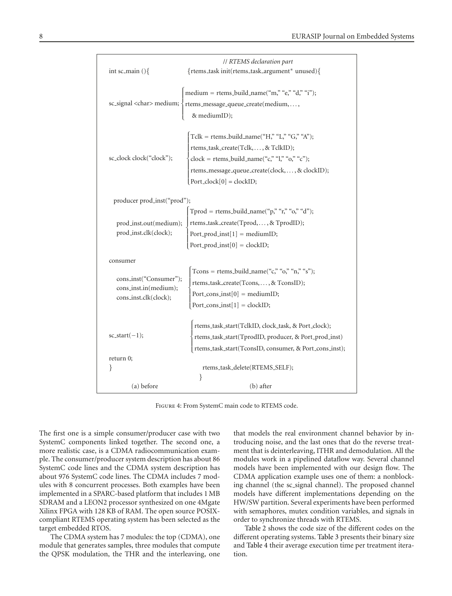| int sc_main $()$ {                                                       | // RTEMS declaration part<br>{rtems_task init(rtems_task_argument* unused){                                                                                                                                             |  |  |
|--------------------------------------------------------------------------|-------------------------------------------------------------------------------------------------------------------------------------------------------------------------------------------------------------------------|--|--|
| sc_signal <char> medium;</char>                                          | medium = rtems_build_name("m," "e," "d," "i");<br>rtems_message_queue_create(medium,,<br>& mediumID);                                                                                                                   |  |  |
| sc_clock clock("clock");                                                 | Tclk = rtems_build_name("H," "L," "G," "A");<br>rtems_task_create(Tclk,  , & TclkID);<br>clock = rtems_build_name("c," "l," "o," "c");<br>rtems_message_queue_create(clock,, & clockID);<br>$Port\_clock[0] = clockID;$ |  |  |
| producer prod_inst("prod");                                              |                                                                                                                                                                                                                         |  |  |
| prod_inst.out(medium);<br>prod_inst.clk(clock);                          | Tprod = rtems_build_name("p," "r," "o," "d");<br>rtems_task_create(Tprod,, & TprodID);<br>Port_prod_inst[1] = mediumID;<br>Port_prod_inst[0] = clockID;                                                                 |  |  |
| consumer                                                                 |                                                                                                                                                                                                                         |  |  |
| cons_inst("Consumer");<br>cons_inst.in(medium);<br>cons_inst.clk(clock); | Tcons = rtems_build_name("c," "o," "n," "s");<br>rtems_task_create(Tcons,  , & TconsID);<br>Port_cons_inst[0] = mediumID;<br>Port_cons_inst[1] = clockID;                                                               |  |  |
| $sc\_start(-1);$                                                         | rtems_task_start(TclkID, clock_task, & Port_clock);<br>rtems_task_start(TprodID, producer, & Port_prod_inst)<br>rtems_task_start(TconsID, consumer, & Port_cons_inst);                                                  |  |  |
| return 0;<br>}                                                           | rtems_task_delete(RTEMS_SELF);                                                                                                                                                                                          |  |  |
|                                                                          | }                                                                                                                                                                                                                       |  |  |
| (a) before                                                               | (b) after                                                                                                                                                                                                               |  |  |

<span id="page-7-0"></span>Figure 4: From SystemC main code to RTEMS code.

The first one is a simple consumer/producer case with two SystemC components linked together. The second one, a more realistic case, is a CDMA radiocommunication example. The consumer/producer system description has about 86 SystemC code lines and the CDMA system description has about 976 SystemC code lines. The CDMA includes 7 modules with 8 concurrent processes. Both examples have been implemented in a SPARC-based platform that includes 1 MB SDRAM and a LEON2 processor synthesized on one 4Mgate Xilinx FPGA with 128 KB of RAM. The open source POSIXcompliant RTEMS operating system has been selected as the target embedded RTOS.

The CDMA system has 7 modules: the top (CDMA), one module that generates samples, three modules that compute the QPSK modulation, the THR and the interleaving, one that models the real environment channel behavior by introducing noise, and the last ones that do the reverse treatment that is deinterleaving, ITHR and demodulation. All the modules work in a pipelined dataflow way. Several channel models have been implemented with our design flow. The CDMA application example uses one of them: a nonblocking channel (the sc signal channel). The proposed channel models have different implementations depending on the HW/SW partition. Several experiments have been performed with semaphores, mutex condition variables, and signals in order to synchronize threads with RTEMS.

[Table 2](#page-8-1) shows the code size of the different codes on the different operating systems. [Table 3](#page-8-2) presents their binary size and [Table 4](#page-8-3) their average execution time per treatment iteration.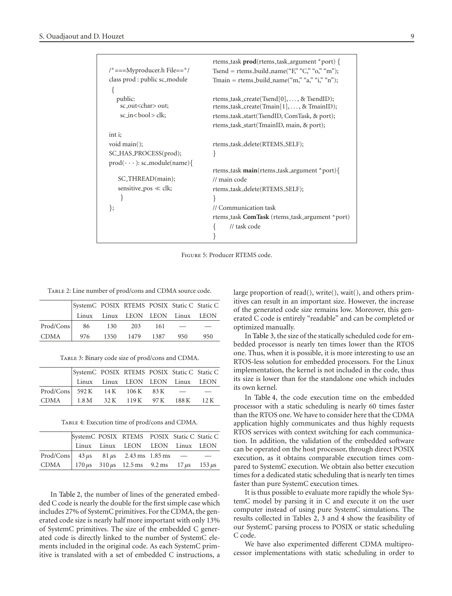| $/* == = Myproduct.$ File==*/                       | rtems_task prod(rtems_task_argument *port) {                                           |
|-----------------------------------------------------|----------------------------------------------------------------------------------------|
|                                                     | Tsend = rtems_build_name("F," "C," "o," "m");                                          |
| class prod : public sc_module                       | Tmain = rtems_build_name("m," "a," "i," "n");                                          |
|                                                     |                                                                                        |
| public:<br>sc_out <char> out;</char>                | rtems_task_create(Tsend[0], , & TsendID);<br>rtems_task_create(Tmain[1], , & TmainID); |
| $sc_inck$ ;                                         | rtems_task_start(TsendID, ComTask, & port);                                            |
|                                                     | rtems_task_start(TmainID, main, & port);                                               |
| int i;                                              |                                                                                        |
| void $main$ ;                                       | rtems_task_delete(RTEMS_SELF);                                                         |
| SC_HAS_PROCESS(prod);                               | ł                                                                                      |
| $\text{prod}(\cdot \cdot \cdot)$ : sc_module(name){ |                                                                                        |
|                                                     | rtems_task <b>main</b> (rtems_task_argument *port){                                    |
| SC_THREAD(main);                                    | // main code                                                                           |
| sensitive pos $\ll$ clk;                            | rtems_task_delete(RTEMS_SELF);                                                         |
| ł                                                   |                                                                                        |
| ∤;                                                  | // Communication task                                                                  |
|                                                     | rtems_task ComTask (rtems_task_argument *port)                                         |
|                                                     | // task code                                                                           |
|                                                     |                                                                                        |
|                                                     |                                                                                        |

<span id="page-8-0"></span>Figure 5: Producer RTEMS code.

Table 2: Line number of prod/cons and CDMA source code.

<span id="page-8-1"></span>

|           | SystemC POSIX RTEMS POSIX Static C Static C |      |           |      |                                  |     |
|-----------|---------------------------------------------|------|-----------|------|----------------------------------|-----|
|           |                                             |      |           |      | Linux Linux LEON LEON Linux LEON |     |
| Prod/Cons | 86                                          | 130  | 203       | -161 |                                  |     |
| CDMA      | 976                                         | 1350 | 1479 1387 |      | 950                              | 950 |

Table 3: Binary code size of prod/cons and CDMA.

<span id="page-8-2"></span>

|                                            | SystemC POSIX RTEMS POSIX Static C Static C |  |  |  |
|--------------------------------------------|---------------------------------------------|--|--|--|
|                                            | Linux Linux LEON LEON Linux LEON            |  |  |  |
| $\text{Prod/Cons}$ 592 K 14 K 106 K 83 K - |                                             |  |  |  |
| CDMA                                       | 1.8 M 32 K 119 K 97 K 188 K 12 K            |  |  |  |

Table 4: Execution time of prod/cons and CDMA.

<span id="page-8-3"></span>

|                                                                         |  | SystemC POSIX RTEMS POSIX Static C Static C |  |  |
|-------------------------------------------------------------------------|--|---------------------------------------------|--|--|
|                                                                         |  | Linux Linux LEON LEON Linux LEON            |  |  |
| Prod/Cons $43 \mu s$ $81 \mu s$ $2.43 \text{ ms}$ $1.85 \text{ ms}$ $-$ |  |                                             |  |  |
| CDMA   $170 \mu s$ 310 $\mu s$ 12.5 ms 9.2 ms 17 $\mu s$ 153 $\mu s$    |  |                                             |  |  |

In [Table 2,](#page-8-1) the number of lines of the generated embedded C code is nearly the double for the first simple case which includes 27% of SystemC primitives. For the CDMA, the generated code size is nearly half more important with only 13% of SystemC primitives. The size of the embedded C generated code is directly linked to the number of SystemC elements included in the original code. As each SystemC primitive is translated with a set of embedded C instructions, a large proportion of read(), write(), wait(), and others primitives can result in an important size. However, the increase of the generated code size remains low. Moreover, this generated C code is entirely "readable" and can be completed or optimized manually.

In [Table 3,](#page-8-2) the size of the statically scheduled code for embedded processor is nearly ten times lower than the RTOS one. Thus, when it is possible, it is more interesting to use an RTOS-less solution for embedded processors. For the Linux implementation, the kernel is not included in the code, thus its size is lower than for the standalone one which includes its own kernel.

In [Table 4,](#page-8-3) the code execution time on the embedded processor with a static scheduling is nearly 60 times faster than the RTOS one. We have to consider here that the CDMA application highly communicates and thus highly requests RTOS services with context switching for each communication. In addition, the validation of the embedded software can be operated on the host processor, through direct POSIX execution, as it obtains comparable execution times compared to SystemC execution. We obtain also better execution times for a dedicated static scheduling that is nearly ten times faster than pure SystemC execution times.

It is thus possible to evaluate more rapidly the whole SystemC model by parsing it in C and execute it on the user computer instead of using pure SystemC simulations. The results collected in Tables [2,](#page-8-1) [3](#page-8-2) and [4](#page-8-3) show the feasibility of our SystemC parsing process to POSIX or static scheduling C code.

We have also experimented different CDMA multiprocessor implementations with static scheduling in order to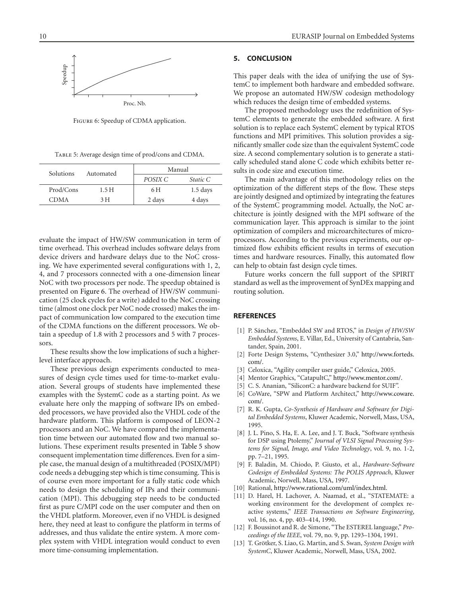<span id="page-9-15"></span>Figure 6: Speedup of CDMA application.

Table 5: Average design time of prod/cons and CDMA.

<span id="page-9-16"></span>

| Solutions   | Automated | Manual  |            |  |
|-------------|-----------|---------|------------|--|
|             |           | POSIX C | Static C   |  |
| Prod/Cons   | 1.5 H     | 6 H     | $1.5$ days |  |
| <b>CDMA</b> | 3 H       | 2 days  | 4 days     |  |

evaluate the impact of HW/SW communication in term of time overhead. This overhead includes software delays from device drivers and hardware delays due to the NoC crossing. We have experimented several configurations with 1, 2, 4, and 7 processors connected with a one-dimension linear NoC with two processors per node. The speedup obtained is presented on [Figure 6.](#page-9-15) The overhead of HW/SW communication (25 clock cycles for a write) added to the NoC crossing time (almost one clock per NoC node crossed) makes the impact of communication low compared to the execution time of the CDMA functions on the different processors. We obtain a speedup of 1.8 with 2 processors and 5 with 7 processors.

These results show the low implications of such a higherlevel interface approach.

These previous design experiments conducted to measures of design cycle times used for time-to-market evaluation. Several groups of students have implemented these examples with the SystemC code as a starting point. As we evaluate here only the mapping of software IPs on embedded processors, we have provided also the VHDL code of the hardware platform. This platform is composed of LEON-2 processors and an NoC. We have compared the implementation time between our automated flow and two manual solutions. These experiment results presented in [Table 5](#page-9-16) show consequent implementation time differences. Even for a simple case, the manual design of a multithreaded (POSIX/MPI) code needs a debugging step which is time consuming. This is of course even more important for a fully static code which needs to design the scheduling of IPs and their communication (MPI). This debugging step needs to be conducted first as pure C/MPI code on the user computer and then on the VHDL platform. Moreover, even if no VHDL is designed here, they need at least to configure the platform in terms of addresses, and thus validate the entire system. A more complex system with VHDL integration would conduct to even more time-consuming implementation.

# <span id="page-9-14"></span>**5. CONCLUSION**

This paper deals with the idea of unifying the use of SystemC to implement both hardware and embedded software. We propose an automated HW/SW codesign methodology which reduces the design time of embedded systems.

The proposed methodology uses the redefinition of SystemC elements to generate the embedded software. A first solution is to replace each SystemC element by typical RTOS functions and MPI primitives. This solution provides a significantly smaller code size than the equivalent SystemC code size. A second complementary solution is to generate a statically scheduled stand alone C code which exhibits better results in code size and execution time.

The main advantage of this methodology relies on the optimization of the different steps of the flow. These steps are jointly designed and optimized by integrating the features of the SystemC programming model. Actually, the NoC architecture is jointly designed with the MPI software of the communication layer. This approach is similar to the joint optimization of compilers and microarchitectures of microprocessors. According to the previous experiments, our optimized flow exhibits efficient results in terms of execution times and hardware resources. Finally, this automated flow can help to obtain fast design cycle times.

Future works concern the full support of the SPIRIT standard as well as the improvement of SynDEx mapping and routing solution.

## <span id="page-9-1"></span><span id="page-9-0"></span>**REFERENCES**

- [1] P. Sánchez, "Embedded SW and RTOS," in *Design of HW/SW Embedded Systems*, E. Villar, Ed., University of Cantabria, Santander, Spain, 2001.
- <span id="page-9-2"></span>[2] Forte Design Systems, "Cynthesizer 3.0," [http://www.forteds.](http://www.forteds.com/) [com/.](http://www.forteds.com/)
- <span id="page-9-3"></span>[3] Celoxica, "Agility compiler user guide," Celoxica, 2005.
- <span id="page-9-4"></span>[4] Mentor Graphics, "CatapultC," [http://www.mentor.com/.](http://www.mentor.com/)
- <span id="page-9-5"></span>[5] C. S. Ananian, "SiliconC: a hardware backend for SUIF".
- <span id="page-9-6"></span>[6] CoWare, "SPW and Platform Architect," [http://www.coware.](http://www.coware.com/) [com/.](http://www.coware.com/)
- <span id="page-9-7"></span>[7] R. K. Gupta, *Co-Synthesis of Hardware and Software for Digital Embedded Systems*, Kluwer Academic, Norwell, Mass, USA, 1995.
- <span id="page-9-11"></span>[8] J. L. Pino, S. Ha, E. A. Lee, and J. T. Buck, "Software synthesis" for DSP using Ptolemy," *Journal of VLSI Signal Processing Systems for Signal, Image, and Video Technology*, vol. 9, no. 1-2, pp. 7–21, 1995.
- <span id="page-9-8"></span>[9] F. Baladin, M. Chiodo, P. Giusto, et al., *Hardware-Software Codesign of Embedded Systems: The POLIS Approach*, Kluwer Academic, Norwell, Mass, USA, 1997.
- <span id="page-9-9"></span>[10] Rational, [http://www.rational.com/uml/index.html.](http://www.rational.com/uml/index.html)
- <span id="page-9-10"></span>[11] D. Harel, H. Lachover, A. Naamad, et al., "STATEMATE: a working environment for the development of complex reactive systems," *IEEE Transactions on Software Engineering*, vol. 16, no. 4, pp. 403–414, 1990.
- <span id="page-9-12"></span>[12] F. Boussinot and R. de Simone, "The ESTEREL language," *Proceedings of the IEEE*, vol. 79, no. 9, pp. 1293–1304, 1991.
- <span id="page-9-13"></span>[13] T. Grötker, S. Liao, G. Martin, and S. Swan, System Design with *SystemC*, Kluwer Academic, Norwell, Mass, USA, 2002.